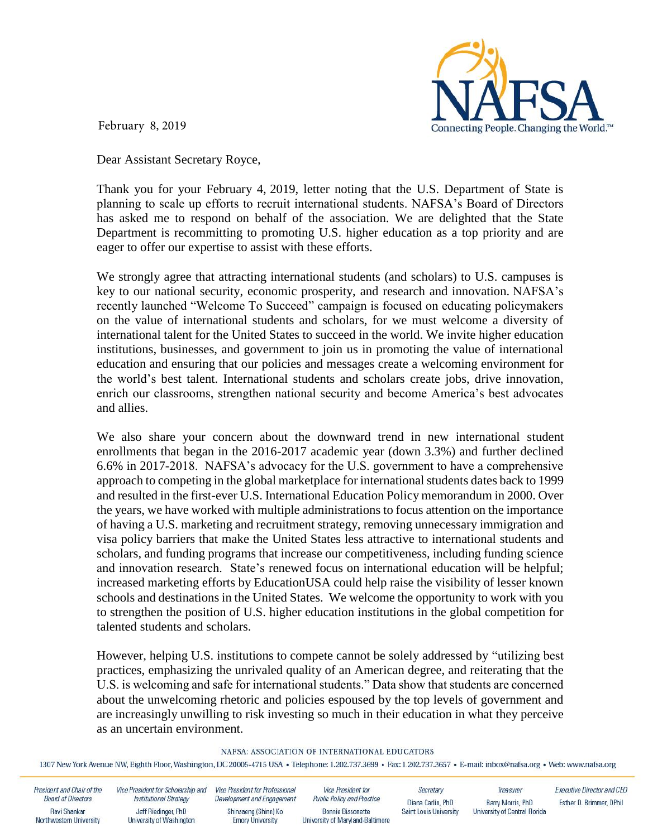

February 8, 2019

Dear Assistant Secretary Royce,

Thank you for your February 4, 2019, letter noting that the U.S. Department of State is planning to scale up efforts to recruit international students. NAFSA's Board of Directors has asked me to respond on behalf of the association. We are delighted that the State Department is recommitting to promoting U.S. higher education as a top priority and are eager to offer our expertise to assist with these efforts.

We strongly agree that attracting international students (and scholars) to U.S. campuses is key to our national security, economic prosperity, and research and innovation. NAFSA's recently launched "Welcome To Succeed" campaign is focused on educating policymakers on the value of international students and scholars, for we must welcome a diversity of international talent for the United States to succeed in the world. We invite higher education institutions, businesses, and government to join us in promoting the value of international education and ensuring that our policies and messages create a welcoming environment for the world's best talent. International students and scholars create jobs, drive innovation, enrich our classrooms, strengthen national security and become America's best advocates and allies.

We also share your concern about the downward trend in new international student enrollments that began in the 2016-2017 academic year (down 3.3%) and further declined 6.6% in 2017-2018. NAFSA's advocacy for the U.S. government to have a comprehensive approach to competing in the global marketplace for international students dates back to 1999 and resulted in the first-ever U.S. International Education Policy memorandum in 2000. Over the years, we have worked with multiple administrations to focus attention on the importance of having a U.S. marketing and recruitment strategy, removing unnecessary immigration and visa policy barriers that make the United States less attractive to international students and scholars, and funding programs that increase our competitiveness, including funding science and innovation research. State's renewed focus on international education will be helpful; increased marketing efforts by EducationUSA could help raise the visibility of lesser known schools and destinations in the United States. We welcome the opportunity to work with you to strengthen the position of U.S. higher education institutions in the global competition for talented students and scholars.

However, helping U.S. institutions to compete cannot be solely addressed by "utilizing best practices, emphasizing the unrivaled quality of an American degree, and reiterating that the U.S. is welcoming and safe for international students." Data show that students are concerned about the unwelcoming rhetoric and policies espoused by the top levels of government and are increasingly unwilling to risk investing so much in their education in what they perceive as an uncertain environment.

## NAFSA: ASSOCIATION OF INTERNATIONAL EDUCATORS

1307 New York Avenue NW, Eighth Floor, Washington, DC 20005-4715 USA · Telephone: 1.202.737.3699 · Fax: 1.202.737.3657 · E-mail: inbox@nafsa.org · Web: www.nafsa.org

| President and Chair of the              | Vice President for Scholarship and              | Vice President for Professional                 | Vice President for                                           | Secretary                     | Treasurer                     | Executive Director and CEO |
|-----------------------------------------|-------------------------------------------------|-------------------------------------------------|--------------------------------------------------------------|-------------------------------|-------------------------------|----------------------------|
| <b>Board of Directors</b>               | <b>Institutional Strategy</b>                   | Development and Engagement                      | Public Policy and Practice                                   | Diana Carlin, PhD             | Barry Morris, PhD             | Esther D. Brimmer, DPhil   |
| Ravi Shankar<br>Northwestern University | Jeff Riedinger, PhD<br>University of Washington | Shinsaeng (Shinn) Ko<br><b>Emory University</b> | <b>Bonnie Bissonette</b><br>University of Maryland-Baltimore | <b>Saint Louis University</b> | University of Central Florida |                            |